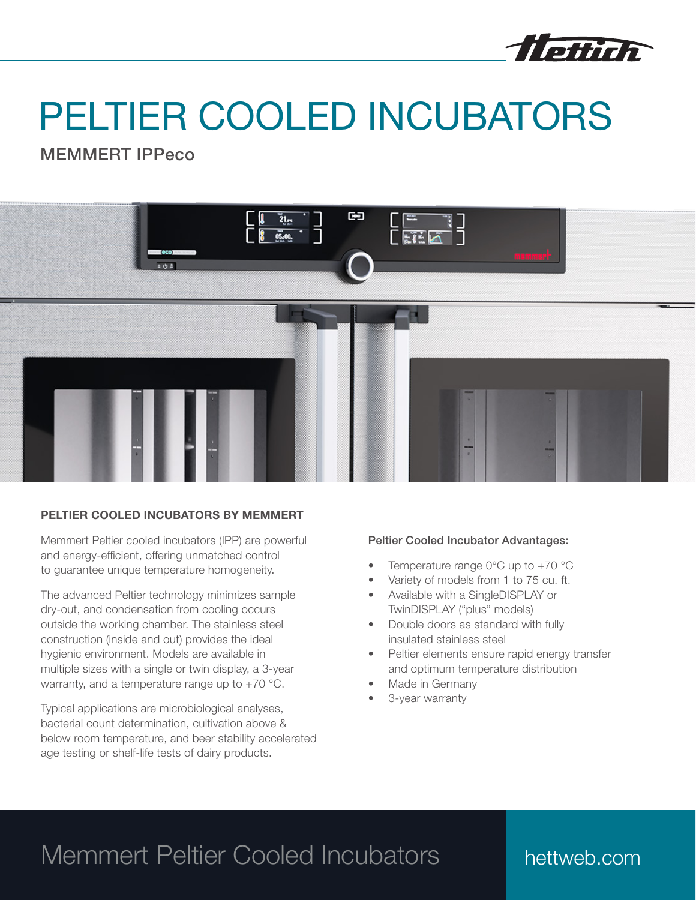

# PELTIER COOLED INCUBATORS

MEMMERT IPPeco



### PELTIER COOLED INCUBATORS BY MEMMERT

Memmert Peltier cooled incubators (IPP) are powerful and energy-efficient, offering unmatched control to guarantee unique temperature homogeneity.

The advanced Peltier technology minimizes sample dry-out, and condensation from cooling occurs outside the working chamber. The stainless steel construction (inside and out) provides the ideal hygienic environment. Models are available in multiple sizes with a single or twin display, a 3-year warranty, and a temperature range up to +70 °C.

Typical applications are microbiological analyses, bacterial count determination, cultivation above & below room temperature, and beer stability accelerated age testing or shelf-life tests of dairy products.

#### Peltier Cooled Incubator Advantages:

- Temperature range  $0^{\circ}$ C up to +70  $^{\circ}$ C
- Variety of models from 1 to 75 cu. ft.
- Available with a SingleDISPLAY or TwinDISPLAY ("plus" models)
- Double doors as standard with fully insulated stainless steel
- Peltier elements ensure rapid energy transfer and optimum temperature distribution
- Made in Germany
- 3-year warranty

## Memmert Peltier Cooled Incubators

## hettweb.com